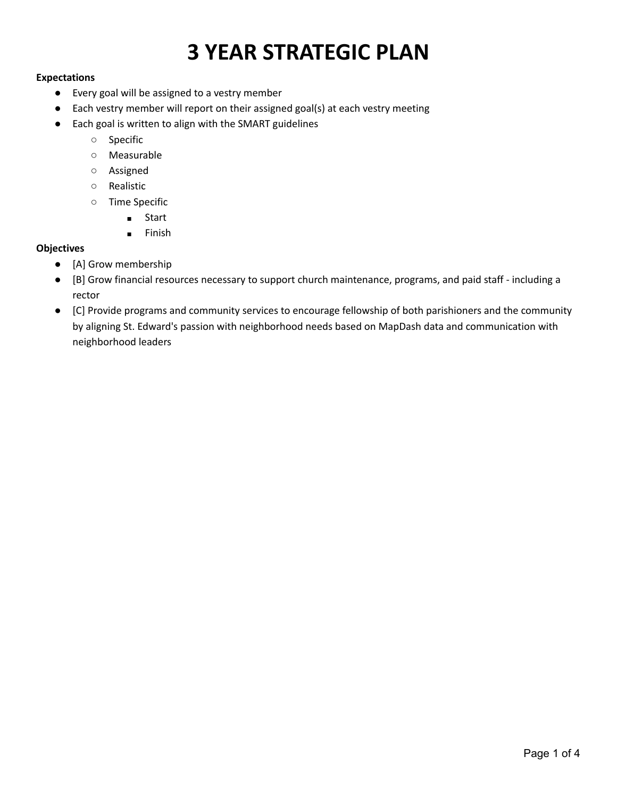# **3 YEAR STRATEGIC PLAN**

#### **Expectations**

- Every goal will be assigned to a vestry member
- Each vestry member will report on their assigned goal(s) at each vestry meeting
- Each goal is written to align with the SMART guidelines
	- Specific
	- Measurable
	- Assigned
	- Realistic
	- Time Specific
		- Start
		- Finish

#### **Objectives**

- [A] Grow membership
- [B] Grow financial resources necessary to support church maintenance, programs, and paid staff including a rector
- [C] Provide programs and community services to encourage fellowship of both parishioners and the community by aligning St. Edward's passion with neighborhood needs based on MapDash data and communication with neighborhood leaders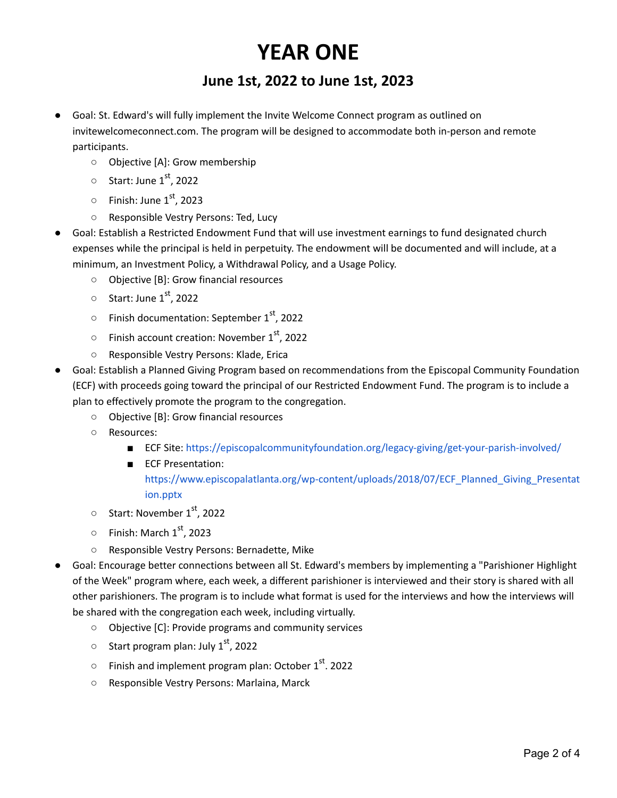## **YEAR ONE**

### **June 1st, 2022 to June 1st, 2023**

- Goal: St. Edward's will fully implement the Invite Welcome Connect program as outlined on invitewelcomeconnect.com. The program will be designed to accommodate both in-person and remote participants.
	- Objective [A]: Grow membership
	- $\circ$  Start: June 1st, 2022
	- $\circ$  Finish: June 1<sup>st</sup>, 2023
	- Responsible Vestry Persons: Ted, Lucy
- Goal: Establish a Restricted Endowment Fund that will use investment earnings to fund designated church expenses while the principal is held in perpetuity. The endowment will be documented and will include, at a minimum, an Investment Policy, a Withdrawal Policy, and a Usage Policy.
	- Objective [B]: Grow financial resources
	- $\circ$  Start: June 1st, 2022
	- $\circ$  Finish documentation: September 1st, 2022
	- $\circ$  Finish account creation: November 1<sup>st</sup>, 2022
	- Responsible Vestry Persons: Klade, Erica
- Goal: Establish a Planned Giving Program based on recommendations from the Episcopal Community Foundation (ECF) with proceeds going toward the principal of our Restricted Endowment Fund. The program is to include a plan to effectively promote the program to the congregation.
	- Objective [B]: Grow financial resources
	- Resources:
		- ECF Site: <https://episcopalcommunityfoundation.org/legacy-giving/get-your-parish-involved/>
		- ECF Presentation: [https://www.episcopalatlanta.org/wp-content/uploads/2018/07/ECF\\_Planned\\_Giving\\_Presentat](https://www.episcopalatlanta.org/wp-content/uploads/2018/07/ECF_Planned_Giving_Presentation.pptx) [ion.pptx](https://www.episcopalatlanta.org/wp-content/uploads/2018/07/ECF_Planned_Giving_Presentation.pptx)
	- $\circ$  Start: November 1<sup>st</sup>, 2022
	- $\circ$  Finish: March 1<sup>st</sup>, 2023
	- Responsible Vestry Persons: Bernadette, Mike
- Goal: Encourage better connections between all St. Edward's members by implementing a "Parishioner Highlight of the Week" program where, each week, a different parishioner is interviewed and their story is shared with all other parishioners. The program is to include what format is used for the interviews and how the interviews will be shared with the congregation each week, including virtually.
	- Objective [C]: Provide programs and community services
	- $\circ$  Start program plan: July 1s<sup>t</sup>, 2022
	- $\circ$  Finish and implement program plan: October 1st. 2022
	- Responsible Vestry Persons: Marlaina, Marck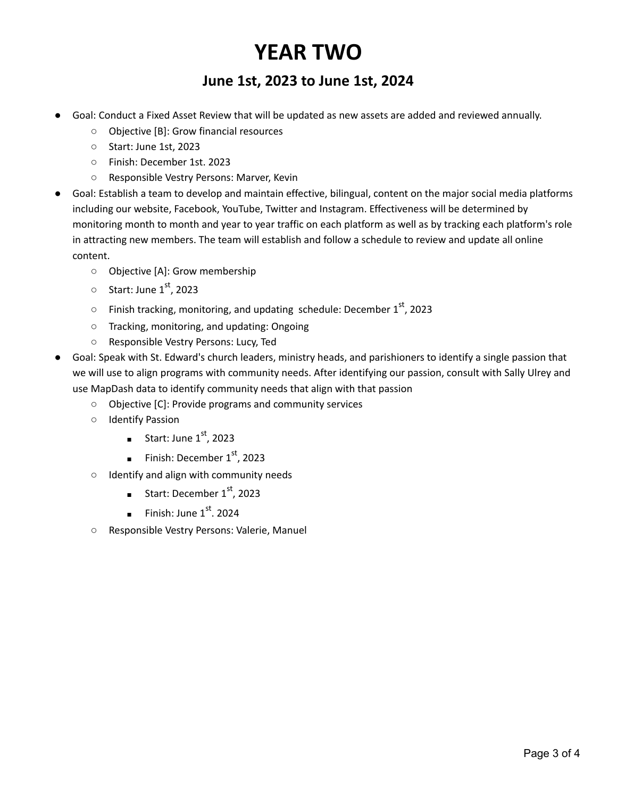## **YEAR TWO**

### **June 1st, 2023 to June 1st, 2024**

- Goal: Conduct a Fixed Asset Review that will be updated as new assets are added and reviewed annually.
	- Objective [B]: Grow financial resources
	- Start: June 1st, 2023
	- Finish: December 1st. 2023
	- Responsible Vestry Persons: Marver, Kevin
- Goal: Establish a team to develop and maintain effective, bilingual, content on the major social media platforms including our website, Facebook, YouTube, Twitter and Instagram. Effectiveness will be determined by monitoring month to month and year to year traffic on each platform as well as by tracking each platform's role in attracting new members. The team will establish and follow a schedule to review and update all online content.
	- Objective [A]: Grow membership
	- $\circ$  Start: June 1st, 2023
	- $\circ$  Finish tracking, monitoring, and updating schedule: December 1<sup>st</sup>, 2023
	- Tracking, monitoring, and updating: Ongoing
	- Responsible Vestry Persons: Lucy, Ted
- Goal: Speak with St. Edward's church leaders, ministry heads, and parishioners to identify a single passion that we will use to align programs with community needs. After identifying our passion, consult with Sally Ulrey and use MapDash data to identify community needs that align with that passion
	- Objective [C]: Provide programs and community services
	- Identify Passion
		- **B** Start: June  $1<sup>st</sup>$ , 2023
		- Finish: December  $1<sup>st</sup>$ , 2023
	- Identify and align with community needs
		- Start: December  $1<sup>st</sup>$ , 2023
		- **■** Finish: June  $1<sup>st</sup>$ . 2024
	- Responsible Vestry Persons: Valerie, Manuel